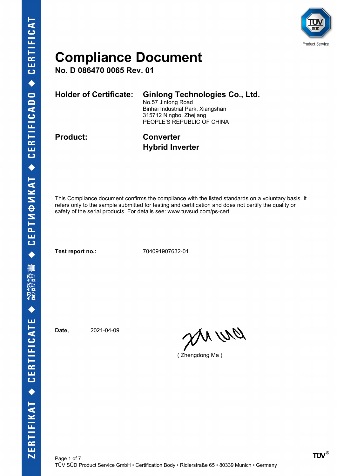

**No. D 086470 0065 Rev. 01**

| <b>Holder of Certificate:</b> | <b>Ginlong Technologies Co., Ltd.</b><br>No.57 Jintong Road<br>Binhai Industrial Park, Xiangshan<br>315712 Ningbo, Zhejiang<br>PEOPLE'S REPUBLIC OF CHINA |
|-------------------------------|-----------------------------------------------------------------------------------------------------------------------------------------------------------|
| <b>Product:</b>               | <b>Converter</b>                                                                                                                                          |

# **Hybrid Inverter**

This Compliance document confirms the compliance with the listed standards on a voluntary basis. It refers only to the sample submitted for testing and certification and does not certify the quality or safety of the serial products. For details see: www.tuvsud.com/ps-cert

**Test report no.:** 704091907632-01

**Date,** 2021-04-09

pri wa

( Zhengdong Ma )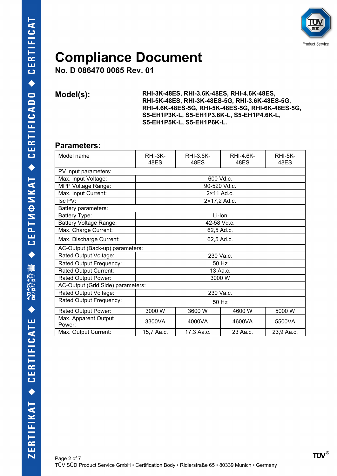

**No. D 086470 0065 Rev. 01**

**Model(s): RHI-3K-48ES, RHI-3.6K-48ES, RHI-4.6K-48ES, RHI-5K-48ES, RHI-3K-48ES-5G, RHI-3.6K-48ES-5G, RHI-4.6K-48ES-5G, RHI-5K-48ES-5G, RHI-6K-48ES-5G, S5-EH1P3K-L, S5-EH1P3.6K-L, S5-EH1P4.6K-L, S5-EH1P5K-L, S5-EH1P6K-L.**

#### **Parameters:**

| Model name                        | $RHI-3K-$<br>48ES | RHI-3.6K-<br>48ES | <b>RHI-4.6K-</b><br>48ES | RHI-5K-<br>48ES |  |
|-----------------------------------|-------------------|-------------------|--------------------------|-----------------|--|
| PV input parameters:              |                   |                   |                          |                 |  |
| Max. Input Voltage:               |                   | 600 Vd.c.         |                          |                 |  |
| MPP Voltage Range:                |                   | 90-520 Vd.c.      |                          |                 |  |
| Max. Input Current:               |                   | 2×11 Ad.c.        |                          |                 |  |
| Isc PV:                           |                   | 2×17,2 Ad.c.      |                          |                 |  |
| Battery parameters:               |                   |                   |                          |                 |  |
| Battery Type:                     |                   | Li-Ion            |                          |                 |  |
| <b>Battery Voltage Range:</b>     |                   | 42-58 Vd.c.       |                          |                 |  |
| Max. Charge Current:              | 62,5 Ad.c.        |                   |                          |                 |  |
| Max. Discharge Current:           | 62,5 Ad.c.        |                   |                          |                 |  |
| AC-Output (Back-up) parameters:   |                   |                   |                          |                 |  |
| Rated Output Voltage:             | 230 Va.c.         |                   |                          |                 |  |
| Rated Output Frequency:           | 50 Hz             |                   |                          |                 |  |
| Rated Output Current:             | 13 Aa.c.          |                   |                          |                 |  |
| Rated Output Power:               | 3000 W            |                   |                          |                 |  |
| AC-Output (Grid Side) parameters: |                   |                   |                          |                 |  |
| Rated Output Voltage:             | 230 Va.c.         |                   |                          |                 |  |
| Rated Output Frequency:           | 50 Hz             |                   |                          |                 |  |
| Rated Output Power:               | 3000 W            | 3600 W            | 4600 W                   | 5000 W          |  |
| Max. Apparent Output<br>Power:    | 3300VA            | 4000VA            | 4600VA                   | 5500VA          |  |
| Max. Output Current:              | 15,7 Aa.c.        | 17,3 Aa.c.        | 23 Aa.c.                 | 23,9 Aa.c.      |  |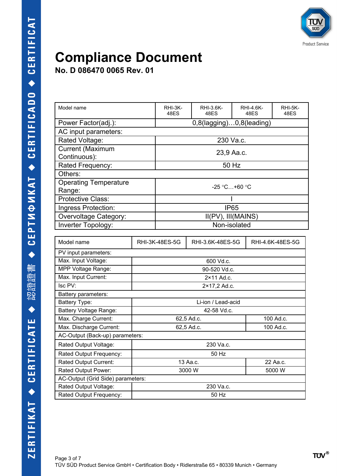

**No. D 086470 0065 Rev. 01**

| Power Factor(adj.):<br>0,8(lagging)0,8(leading)<br>AC input parameters:<br>Rated Voltage:<br>230 Va.c.<br><b>Current (Maximum</b><br>23,9 Aa.c.<br>Continuous):<br>50 Hz<br>Rated Frequency:<br>Others:<br><b>Operating Temperature</b><br>$-25 °C+60 °C$<br>Range:<br><b>Protective Class:</b><br><b>IP65</b><br>Ingress Protection:<br>II(PV), III(MAINS)<br>Overvoltage Category:<br>Inverter Topology:<br>Non-isolated<br>Model name<br>RHI-3K-48ES-5G<br>RHI-3.6K-48ES-5G<br>RHI-4.6K-48ES-5G<br>PV input parameters:<br>Max. Input Voltage:<br>600 Vd.c.<br>MPP Voltage Range:<br>90-520 Vd.c.<br>Max. Input Current:<br>2×11 Ad.c.<br>Isc PV:<br>2×17,2 Ad.c.<br>Battery parameters:<br><b>Battery Type:</b><br>Li-ion / Lead-acid<br>Battery Voltage Range:<br>42-58 Vd.c.<br>Max. Charge Current:<br>100 Ad.c.<br>62,5 Ad.c.<br>Max. Discharge Current:<br>62,5 Ad.c.<br>100 Ad.c.<br>AC-Output (Back-up) parameters:<br>Rated Output Voltage:<br>230 Va.c.<br>Rated Output Frequency:<br>50 Hz<br>Rated Output Current:<br>22 Aa.c.<br>13 Aa.c.<br>Rated Output Power:<br>3000W<br>5000 W<br>AC-Output (Grid Side) parameters:<br>Rated Output Voltage:<br>230 Va.c.<br>Rated Output Frequency:<br>50 Hz | Model name |  | RHI-3K-<br>48ES | RHI-3.6K-<br>48ES |  | <b>RHI-4.6K-</b><br>48ES | <b>RHI-5K-</b><br>48ES |
|--------------------------------------------------------------------------------------------------------------------------------------------------------------------------------------------------------------------------------------------------------------------------------------------------------------------------------------------------------------------------------------------------------------------------------------------------------------------------------------------------------------------------------------------------------------------------------------------------------------------------------------------------------------------------------------------------------------------------------------------------------------------------------------------------------------------------------------------------------------------------------------------------------------------------------------------------------------------------------------------------------------------------------------------------------------------------------------------------------------------------------------------------------------------------------------------------------------------|------------|--|-----------------|-------------------|--|--------------------------|------------------------|
|                                                                                                                                                                                                                                                                                                                                                                                                                                                                                                                                                                                                                                                                                                                                                                                                                                                                                                                                                                                                                                                                                                                                                                                                                    |            |  |                 |                   |  |                          |                        |
|                                                                                                                                                                                                                                                                                                                                                                                                                                                                                                                                                                                                                                                                                                                                                                                                                                                                                                                                                                                                                                                                                                                                                                                                                    |            |  |                 |                   |  |                          |                        |
|                                                                                                                                                                                                                                                                                                                                                                                                                                                                                                                                                                                                                                                                                                                                                                                                                                                                                                                                                                                                                                                                                                                                                                                                                    |            |  |                 |                   |  |                          |                        |
|                                                                                                                                                                                                                                                                                                                                                                                                                                                                                                                                                                                                                                                                                                                                                                                                                                                                                                                                                                                                                                                                                                                                                                                                                    |            |  |                 |                   |  |                          |                        |
|                                                                                                                                                                                                                                                                                                                                                                                                                                                                                                                                                                                                                                                                                                                                                                                                                                                                                                                                                                                                                                                                                                                                                                                                                    |            |  |                 |                   |  |                          |                        |
|                                                                                                                                                                                                                                                                                                                                                                                                                                                                                                                                                                                                                                                                                                                                                                                                                                                                                                                                                                                                                                                                                                                                                                                                                    |            |  |                 |                   |  |                          |                        |
|                                                                                                                                                                                                                                                                                                                                                                                                                                                                                                                                                                                                                                                                                                                                                                                                                                                                                                                                                                                                                                                                                                                                                                                                                    |            |  |                 |                   |  |                          |                        |
|                                                                                                                                                                                                                                                                                                                                                                                                                                                                                                                                                                                                                                                                                                                                                                                                                                                                                                                                                                                                                                                                                                                                                                                                                    |            |  |                 |                   |  |                          |                        |
|                                                                                                                                                                                                                                                                                                                                                                                                                                                                                                                                                                                                                                                                                                                                                                                                                                                                                                                                                                                                                                                                                                                                                                                                                    |            |  |                 |                   |  |                          |                        |
|                                                                                                                                                                                                                                                                                                                                                                                                                                                                                                                                                                                                                                                                                                                                                                                                                                                                                                                                                                                                                                                                                                                                                                                                                    |            |  |                 |                   |  |                          |                        |
|                                                                                                                                                                                                                                                                                                                                                                                                                                                                                                                                                                                                                                                                                                                                                                                                                                                                                                                                                                                                                                                                                                                                                                                                                    |            |  |                 |                   |  |                          |                        |
|                                                                                                                                                                                                                                                                                                                                                                                                                                                                                                                                                                                                                                                                                                                                                                                                                                                                                                                                                                                                                                                                                                                                                                                                                    |            |  |                 |                   |  |                          |                        |
|                                                                                                                                                                                                                                                                                                                                                                                                                                                                                                                                                                                                                                                                                                                                                                                                                                                                                                                                                                                                                                                                                                                                                                                                                    |            |  |                 |                   |  |                          |                        |
|                                                                                                                                                                                                                                                                                                                                                                                                                                                                                                                                                                                                                                                                                                                                                                                                                                                                                                                                                                                                                                                                                                                                                                                                                    |            |  |                 |                   |  |                          |                        |
|                                                                                                                                                                                                                                                                                                                                                                                                                                                                                                                                                                                                                                                                                                                                                                                                                                                                                                                                                                                                                                                                                                                                                                                                                    |            |  |                 |                   |  |                          |                        |
|                                                                                                                                                                                                                                                                                                                                                                                                                                                                                                                                                                                                                                                                                                                                                                                                                                                                                                                                                                                                                                                                                                                                                                                                                    |            |  |                 |                   |  |                          |                        |
|                                                                                                                                                                                                                                                                                                                                                                                                                                                                                                                                                                                                                                                                                                                                                                                                                                                                                                                                                                                                                                                                                                                                                                                                                    |            |  |                 |                   |  |                          |                        |
|                                                                                                                                                                                                                                                                                                                                                                                                                                                                                                                                                                                                                                                                                                                                                                                                                                                                                                                                                                                                                                                                                                                                                                                                                    |            |  |                 |                   |  |                          |                        |
|                                                                                                                                                                                                                                                                                                                                                                                                                                                                                                                                                                                                                                                                                                                                                                                                                                                                                                                                                                                                                                                                                                                                                                                                                    |            |  |                 |                   |  |                          |                        |
|                                                                                                                                                                                                                                                                                                                                                                                                                                                                                                                                                                                                                                                                                                                                                                                                                                                                                                                                                                                                                                                                                                                                                                                                                    |            |  |                 |                   |  |                          |                        |
|                                                                                                                                                                                                                                                                                                                                                                                                                                                                                                                                                                                                                                                                                                                                                                                                                                                                                                                                                                                                                                                                                                                                                                                                                    |            |  |                 |                   |  |                          |                        |
|                                                                                                                                                                                                                                                                                                                                                                                                                                                                                                                                                                                                                                                                                                                                                                                                                                                                                                                                                                                                                                                                                                                                                                                                                    |            |  |                 |                   |  |                          |                        |
|                                                                                                                                                                                                                                                                                                                                                                                                                                                                                                                                                                                                                                                                                                                                                                                                                                                                                                                                                                                                                                                                                                                                                                                                                    |            |  |                 |                   |  |                          |                        |
|                                                                                                                                                                                                                                                                                                                                                                                                                                                                                                                                                                                                                                                                                                                                                                                                                                                                                                                                                                                                                                                                                                                                                                                                                    |            |  |                 |                   |  |                          |                        |
|                                                                                                                                                                                                                                                                                                                                                                                                                                                                                                                                                                                                                                                                                                                                                                                                                                                                                                                                                                                                                                                                                                                                                                                                                    |            |  |                 |                   |  |                          |                        |
|                                                                                                                                                                                                                                                                                                                                                                                                                                                                                                                                                                                                                                                                                                                                                                                                                                                                                                                                                                                                                                                                                                                                                                                                                    |            |  |                 |                   |  |                          |                        |
|                                                                                                                                                                                                                                                                                                                                                                                                                                                                                                                                                                                                                                                                                                                                                                                                                                                                                                                                                                                                                                                                                                                                                                                                                    |            |  |                 |                   |  |                          |                        |
|                                                                                                                                                                                                                                                                                                                                                                                                                                                                                                                                                                                                                                                                                                                                                                                                                                                                                                                                                                                                                                                                                                                                                                                                                    |            |  |                 |                   |  |                          |                        |
|                                                                                                                                                                                                                                                                                                                                                                                                                                                                                                                                                                                                                                                                                                                                                                                                                                                                                                                                                                                                                                                                                                                                                                                                                    |            |  |                 |                   |  |                          |                        |
|                                                                                                                                                                                                                                                                                                                                                                                                                                                                                                                                                                                                                                                                                                                                                                                                                                                                                                                                                                                                                                                                                                                                                                                                                    |            |  |                 |                   |  |                          |                        |
|                                                                                                                                                                                                                                                                                                                                                                                                                                                                                                                                                                                                                                                                                                                                                                                                                                                                                                                                                                                                                                                                                                                                                                                                                    |            |  |                 |                   |  |                          |                        |
|                                                                                                                                                                                                                                                                                                                                                                                                                                                                                                                                                                                                                                                                                                                                                                                                                                                                                                                                                                                                                                                                                                                                                                                                                    |            |  |                 |                   |  |                          |                        |
|                                                                                                                                                                                                                                                                                                                                                                                                                                                                                                                                                                                                                                                                                                                                                                                                                                                                                                                                                                                                                                                                                                                                                                                                                    |            |  |                 |                   |  |                          |                        |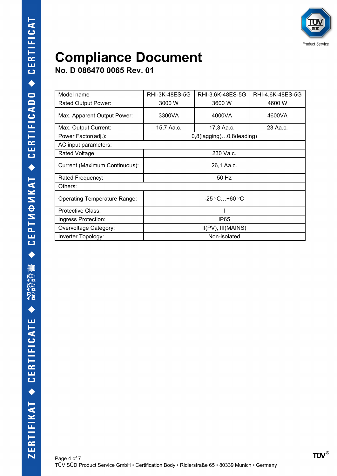

**No. D 086470 0065 Rev. 01**

| Model name                          | RHI-3K-48ES-5G                  | RHI-3.6K-48ES-5G | RHI-4.6K-48ES-5G |  |
|-------------------------------------|---------------------------------|------------------|------------------|--|
| Rated Output Power:                 | 3000 W                          | 3600 W           | 4600 W           |  |
| Max. Apparent Output Power:         | 3300VA                          | 4000VA           | 4600VA           |  |
| Max. Output Current:                | 15,7 Aa.c.                      | 17,3 Aa.c.       | 23 Aa.c.         |  |
| Power Factor(adj.):                 | $0,8$ (lagging) $0,8$ (leading) |                  |                  |  |
| AC input parameters:                |                                 |                  |                  |  |
| Rated Voltage:                      |                                 | 230 Va.c.        |                  |  |
| Current (Maximum Continuous):       | 26,1 Aa.c.                      |                  |                  |  |
| Rated Frequency:                    | 50 Hz                           |                  |                  |  |
| Others:                             |                                 |                  |                  |  |
| <b>Operating Temperature Range:</b> | $-25 °C+60 °C$                  |                  |                  |  |
| Protective Class:                   |                                 |                  |                  |  |
| Ingress Protection:                 | IP <sub>65</sub>                |                  |                  |  |
| Overvoltage Category:               | $II(PV)$ , $III(MAINS)$         |                  |                  |  |
| Inverter Topology:                  | Non-isolated                    |                  |                  |  |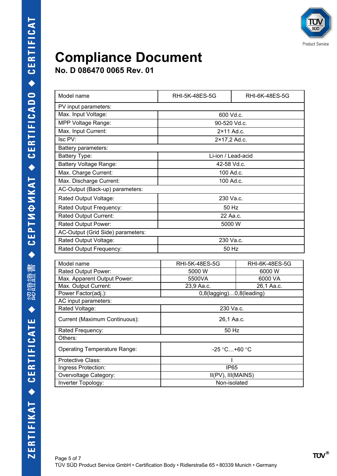

**No. D 086470 0065 Rev. 01**

| Model name                          | RHI-5K-48ES-5G<br>RHI-6K-48ES-5G |                |  |  |
|-------------------------------------|----------------------------------|----------------|--|--|
| PV input parameters:                |                                  |                |  |  |
| Max. Input Voltage:                 | 600 Vd.c.                        |                |  |  |
| MPP Voltage Range:                  | 90-520 Vd.c.                     |                |  |  |
| Max. Input Current:                 | 2×11 Ad.c.                       |                |  |  |
| Isc PV:                             | 2×17,2 Ad.c.                     |                |  |  |
| Battery parameters:                 |                                  |                |  |  |
| <b>Battery Type:</b>                | Li-ion / Lead-acid               |                |  |  |
| Battery Voltage Range:              | 42-58 Vd.c.                      |                |  |  |
| Max. Charge Current:                | 100 Ad.c.                        |                |  |  |
| Max. Discharge Current:             | 100 Ad.c.                        |                |  |  |
| AC-Output (Back-up) parameters:     |                                  |                |  |  |
| Rated Output Voltage:               | 230 Va.c.                        |                |  |  |
| Rated Output Frequency:             | 50 Hz                            |                |  |  |
| <b>Rated Output Current:</b>        | 22 Aa.c.                         |                |  |  |
| Rated Output Power:                 | 5000 W                           |                |  |  |
| AC-Output (Grid Side) parameters:   |                                  |                |  |  |
| Rated Output Voltage:               | 230 Va.c.                        |                |  |  |
| Rated Output Frequency:             | 50 Hz                            |                |  |  |
|                                     |                                  |                |  |  |
| Model name                          | RHI-5K-48ES-5G                   | RHI-6K-48ES-5G |  |  |
| Rated Output Power:                 | 5000 W                           | 6000 W         |  |  |
| Max. Apparent Output Power:         | 5500VA                           | 6000 VA        |  |  |
| Max. Output Current:                | 23,9 Aa.c.                       | 26,1 Aa.c.     |  |  |
| Power Factor(adj.):                 | 0,8(lagging)0,8(leading)         |                |  |  |
| AC input parameters:                |                                  |                |  |  |
| Rated Voltage:                      | 230 Va.c.                        |                |  |  |
| Current (Maximum Continuous):       | 26,1 Aa.c.                       |                |  |  |
| Rated Frequency:                    | 50 Hz                            |                |  |  |
| Others:                             |                                  |                |  |  |
| <b>Operating Temperature Range:</b> | $-25 °C+60 °C$                   |                |  |  |
| Protective Class:                   |                                  |                |  |  |

Ingress Protection: IP65 Overvoltage Category:  $\qquad \qquad$  | II(PV), III(MAINS) Inverter Topology: Non-isolated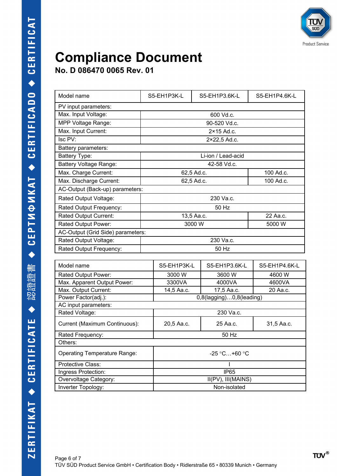

**No. D 086470 0065 Rev. 01**

| Model name                          | S5-EH1P3K-L     | S5-EH1P3.6K-L                        | S5-EH1P4.6K-L |  |  |
|-------------------------------------|-----------------|--------------------------------------|---------------|--|--|
| PV input parameters:                |                 |                                      |               |  |  |
| Max. Input Voltage:                 | 600 Vd.c.       |                                      |               |  |  |
| MPP Voltage Range:                  | 90-520 Vd.c.    |                                      |               |  |  |
| Max. Input Current:                 |                 | $2 \times 15$ Ad.c.                  |               |  |  |
| Isc PV:                             |                 | 2×22,5 Ad.c.                         |               |  |  |
| Battery parameters:                 |                 |                                      |               |  |  |
| <b>Battery Type:</b>                |                 | Li-ion / Lead-acid                   |               |  |  |
| <b>Battery Voltage Range:</b>       |                 | 42-58 Vd.c.                          |               |  |  |
| Max. Charge Current:                |                 | 62,5 Ad.c.                           | 100 Ad.c.     |  |  |
| Max. Discharge Current:             |                 | 62,5 Ad.c.                           | 100 Ad.c.     |  |  |
| AC-Output (Back-up) parameters:     |                 |                                      |               |  |  |
| Rated Output Voltage:               | 230 Va.c.       |                                      |               |  |  |
| Rated Output Frequency:             | 50 Hz           |                                      |               |  |  |
| <b>Rated Output Current:</b>        | 13,5 Aa.c.      |                                      | 22 Aa.c.      |  |  |
| Rated Output Power:                 | 3000 W          | 5000 W                               |               |  |  |
| AC-Output (Grid Side) parameters:   |                 |                                      |               |  |  |
| Rated Output Voltage:               | 230 Va.c.       |                                      |               |  |  |
| Rated Output Frequency:             |                 | 50 Hz                                |               |  |  |
|                                     |                 |                                      |               |  |  |
| Model name                          | S5-EH1P3K-L     | S5-EH1P3.6K-L                        | S5-EH1P4.6K-L |  |  |
| Rated Output Power:                 | 3000 W          | 3600 W                               | 4600 W        |  |  |
| Max. Apparent Output Power:         | 3300VA          | 4000VA                               | 4600VA        |  |  |
| Max. Output Current:                |                 | 14,5 Aa.c.<br>17,5 Aa.c.<br>20 Aa.c. |               |  |  |
| Power Factor(adj.):                 |                 | 0,8(lagging)0,8(leading)             |               |  |  |
| AC input parameters:                |                 |                                      |               |  |  |
| Rated Voltage:                      |                 | 230 Va.c.                            |               |  |  |
| Current (Maximum Continuous):       | 20,5 Aa.c.      | 25 Aa.c.                             | 31,5 Aa.c.    |  |  |
| Rated Frequency:                    |                 | 50 Hz                                |               |  |  |
| Others:                             |                 |                                      |               |  |  |
| <b>Operating Temperature Range:</b> | $-25$ °C +60 °C |                                      |               |  |  |
| Protective Class:                   |                 |                                      |               |  |  |
| Ingress Protection:                 | <b>IP65</b>     |                                      |               |  |  |
| Overvoltage Category:               |                 | II(PV), III(MAINS)                   |               |  |  |
| Inverter Topology:                  |                 | Non-isolated                         |               |  |  |